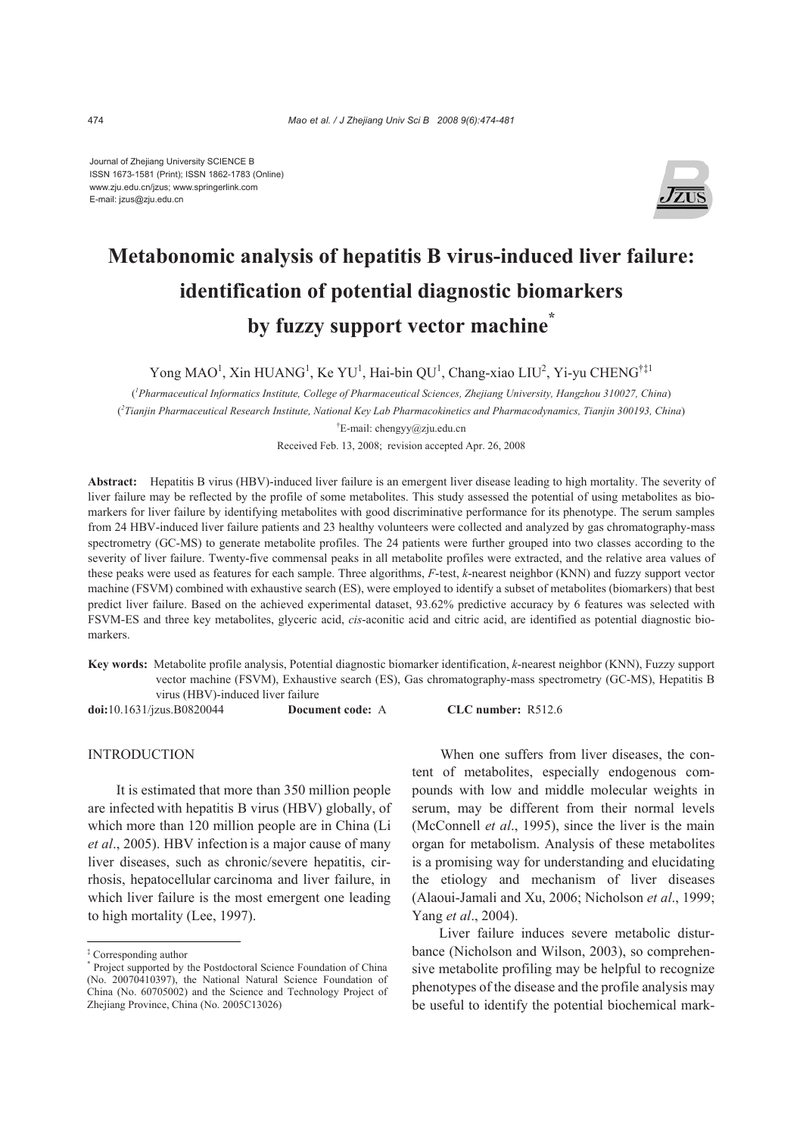Journal of Zhejiang University SCIENCE B ISSN 1673-1581 (Print); ISSN 1862-1783 (Online) www.zju.edu.cn/jzus; www.springerlink.com E-mail: jzus@zju.edu.cn



# **Metabonomic analysis of hepatitis B virus-induced liver failure: identification of potential diagnostic biomarkers by fuzzy support vector machine\***

Yong MAO<sup>1</sup>, Xin HUANG<sup>1</sup>, Ke YU<sup>1</sup>, Hai-bin QU<sup>1</sup>, Chang-xiao LIU<sup>2</sup>, Yi-yu CHENG<sup>†‡1</sup>

( *1 Pharmaceutical Informatics Institute, College of Pharmaceutical Sciences, Zhejiang University, Hangzhou 310027, China*) ( *2 Tianjin Pharmaceutical Research Institute, National Key Lab Pharmacokinetics and Pharmacodynamics, Tianjin 300193, China*) † E-mail: chengyy@zju.edu.cn

Received Feb. 13, 2008; revision accepted Apr. 26, 2008

**Abstract:** Hepatitis B virus (HBV)-induced liver failure is an emergent liver disease leading to high mortality. The severity of liver failure may be reflected by the profile of some metabolites. This study assessed the potential of using metabolites as biomarkers for liver failure by identifying metabolites with good discriminative performance for its phenotype. The serum samples from 24 HBV-induced liver failure patients and 23 healthy volunteers were collected and analyzed by gas chromatography-mass spectrometry (GC-MS) to generate metabolite profiles. The 24 patients were further grouped into two classes according to the severity of liver failure. Twenty-five commensal peaks in all metabolite profiles were extracted, and the relative area values of these peaks were used as features for each sample. Three algorithms, *F*-test, *k*-nearest neighbor (KNN) and fuzzy support vector machine (FSVM) combined with exhaustive search (ES), were employed to identify a subset of metabolites (biomarkers) that best predict liver failure. Based on the achieved experimental dataset, 93.62% predictive accuracy by 6 features was selected with FSVM-ES and three key metabolites, glyceric acid, *cis*-aconitic acid and citric acid, are identified as potential diagnostic biomarkers.

**Key words:** Metabolite profile analysis, Potential diagnostic biomarker identification, *k*-nearest neighbor (KNN), Fuzzy support vector machine (FSVM), Exhaustive search (ES), Gas chromatography-mass spectrometry (GC-MS), Hepatitis B virus (HBV)-induced liver failure

**doi:**10.1631/jzus.B0820044 **Document code:** A **CLC number:** R512.6

# INTRODUCTION

It is estimated that more than 350 million people are infected with hepatitis B virus (HBV) globally, of which more than 120 million people are in China (Li *et al*., 2005). HBV infection is a major cause of many liver diseases, such as chronic/severe hepatitis, cirrhosis, hepatocellular carcinoma and liver failure, in which liver failure is the most emergent one leading to high mortality (Lee, 1997).

When one suffers from liver diseases, the content of metabolites, especially endogenous compounds with low and middle molecular weights in serum, may be different from their normal levels (McConnell *et al*., 1995), since the liver is the main organ for metabolism. Analysis of these metabolites is a promising way for understanding and elucidating the etiology and mechanism of liver diseases (Alaoui-Jamali and Xu, 2006; Nicholson *et al*., 1999; Yang *et al*., 2004).

Liver failure induces severe metabolic disturbance (Nicholson and Wilson, 2003), so comprehensive metabolite profiling may be helpful to recognize phenotypes of the disease and the profile analysis may be useful to identify the potential biochemical mark-

<sup>‡</sup> Corresponding author

<sup>\*</sup> Project supported by the Postdoctoral Science Foundation of China (No. 20070410397), the National Natural Science Foundation of China (No. 60705002) and the Science and Technology Project of Zhejiang Province, China (No. 2005C13026)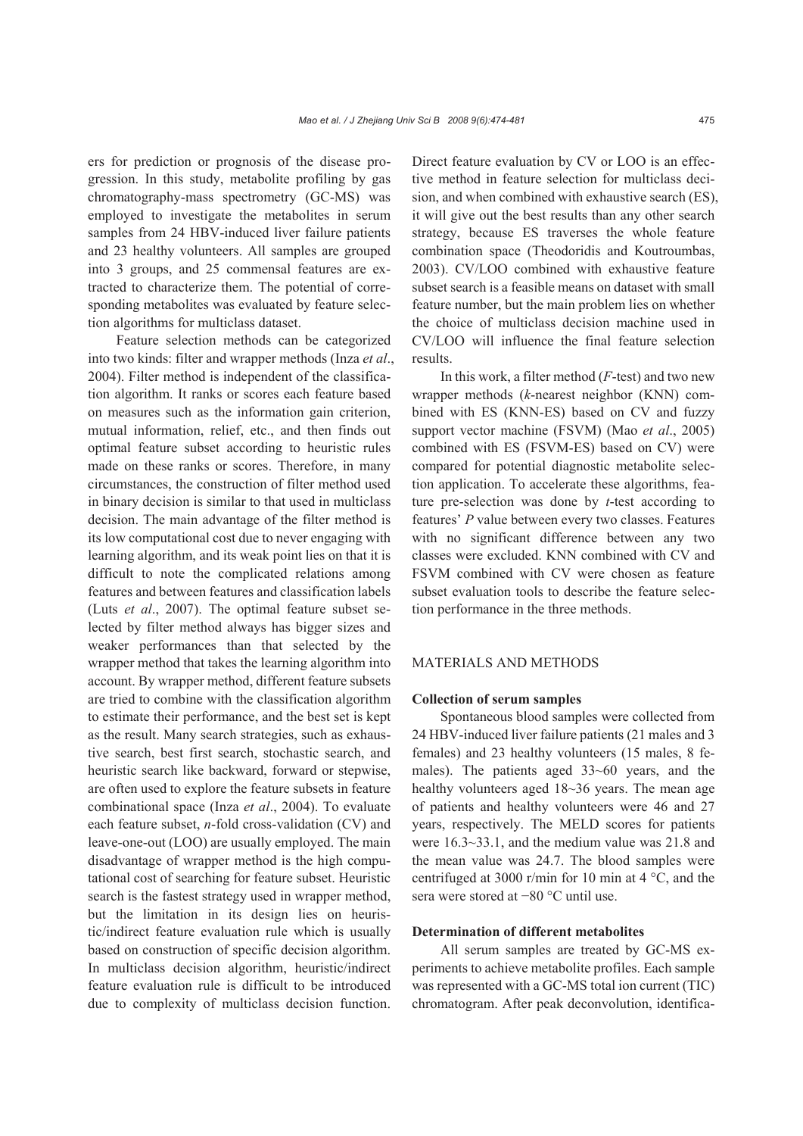ers for prediction or prognosis of the disease progression. In this study, metabolite profiling by gas chromatography-mass spectrometry (GC-MS) was employed to investigate the metabolites in serum samples from 24 HBV-induced liver failure patients and 23 healthy volunteers. All samples are grouped into 3 groups, and 25 commensal features are extracted to characterize them. The potential of corresponding metabolites was evaluated by feature selection algorithms for multiclass dataset.

Feature selection methods can be categorized into two kinds: filter and wrapper methods (Inza *et al*., 2004). Filter method is independent of the classification algorithm. It ranks or scores each feature based on measures such as the information gain criterion, mutual information, relief, etc., and then finds out optimal feature subset according to heuristic rules made on these ranks or scores. Therefore, in many circumstances, the construction of filter method used in binary decision is similar to that used in multiclass decision. The main advantage of the filter method is its low computational cost due to never engaging with learning algorithm, and its weak point lies on that it is difficult to note the complicated relations among features and between features and classification labels (Luts *et al*., 2007). The optimal feature subset selected by filter method always has bigger sizes and weaker performances than that selected by the wrapper method that takes the learning algorithm into account. By wrapper method, different feature subsets are tried to combine with the classification algorithm to estimate their performance, and the best set is kept as the result. Many search strategies, such as exhaustive search, best first search, stochastic search, and heuristic search like backward, forward or stepwise, are often used to explore the feature subsets in feature combinational space (Inza *et al*., 2004). To evaluate each feature subset, *n*-fold cross-validation (CV) and leave-one-out (LOO) are usually employed. The main disadvantage of wrapper method is the high computational cost of searching for feature subset. Heuristic search is the fastest strategy used in wrapper method, but the limitation in its design lies on heuristic/indirect feature evaluation rule which is usually based on construction of specific decision algorithm. In multiclass decision algorithm, heuristic/indirect feature evaluation rule is difficult to be introduced due to complexity of multiclass decision function.

Direct feature evaluation by CV or LOO is an effective method in feature selection for multiclass decision, and when combined with exhaustive search (ES), it will give out the best results than any other search strategy, because ES traverses the whole feature combination space (Theodoridis and Koutroumbas, 2003). CV/LOO combined with exhaustive feature subset search is a feasible means on dataset with small feature number, but the main problem lies on whether the choice of multiclass decision machine used in CV/LOO will influence the final feature selection results.

In this work, a filter method (*F*-test) and two new wrapper methods (*k*-nearest neighbor (KNN) combined with ES (KNN-ES) based on CV and fuzzy support vector machine (FSVM) (Mao *et al*., 2005) combined with ES (FSVM-ES) based on CV) were compared for potential diagnostic metabolite selection application. To accelerate these algorithms, feature pre-selection was done by *t*-test according to features' *P* value between every two classes. Features with no significant difference between any two classes were excluded. KNN combined with CV and FSVM combined with CV were chosen as feature subset evaluation tools to describe the feature selection performance in the three methods.

# MATERIALS AND METHODS

## **Collection of serum samples**

Spontaneous blood samples were collected from 24 HBV-induced liver failure patients (21 males and 3 females) and 23 healthy volunteers (15 males, 8 females). The patients aged 33~60 years, and the healthy volunteers aged 18~36 years. The mean age of patients and healthy volunteers were 46 and 27 years, respectively. The MELD scores for patients were 16.3~33.1, and the medium value was 21.8 and the mean value was 24.7. The blood samples were centrifuged at 3000 r/min for 10 min at 4 °C, and the sera were stored at −80 °C until use.

## **Determination of different metabolites**

All serum samples are treated by GC-MS experiments to achieve metabolite profiles. Each sample was represented with a GC-MS total ion current (TIC) chromatogram. After peak deconvolution, identifica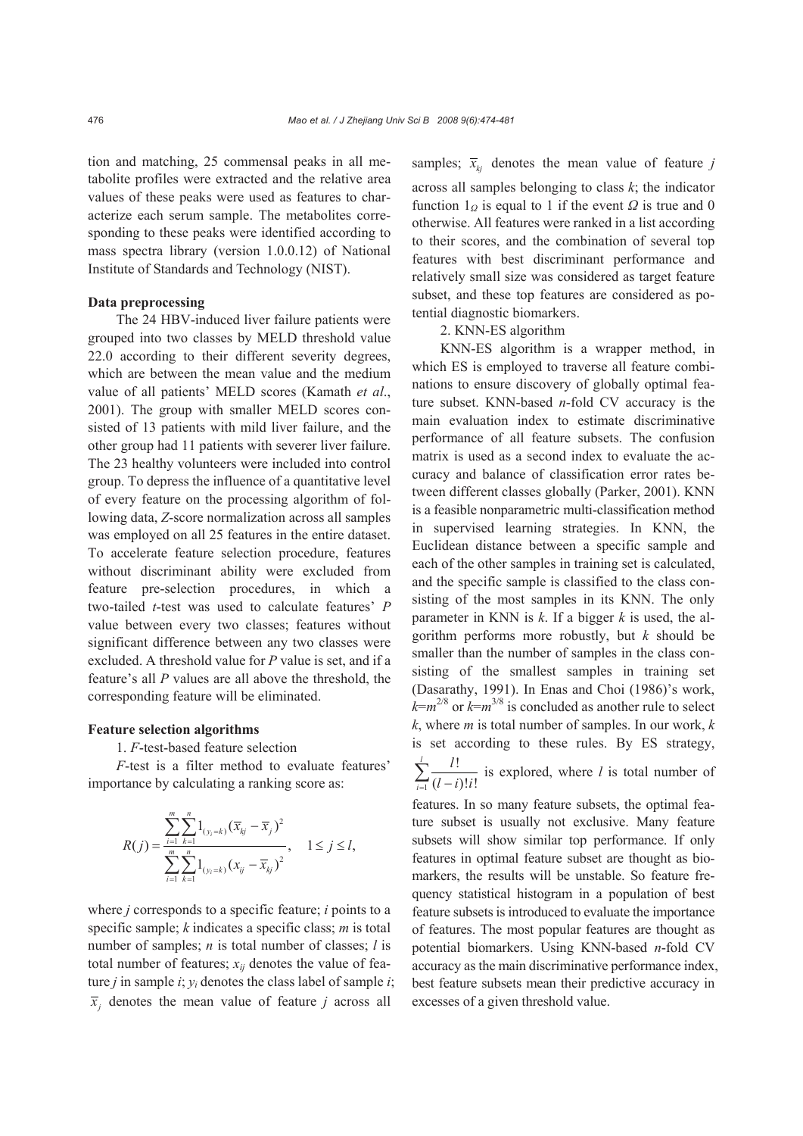tion and matching, 25 commensal peaks in all metabolite profiles were extracted and the relative area values of these peaks were used as features to characterize each serum sample. The metabolites corresponding to these peaks were identified according to mass spectra library (version 1.0.0.12) of National Institute of Standards and Technology (NIST).

### **Data preprocessing**

The 24 HBV-induced liver failure patients were grouped into two classes by MELD threshold value 22.0 according to their different severity degrees, which are between the mean value and the medium value of all patients' MELD scores (Kamath *et al*., 2001). The group with smaller MELD scores consisted of 13 patients with mild liver failure, and the other group had 11 patients with severer liver failure. The 23 healthy volunteers were included into control group. To depress the influence of a quantitative level of every feature on the processing algorithm of following data, *Z*-score normalization across all samples was employed on all 25 features in the entire dataset. To accelerate feature selection procedure, features without discriminant ability were excluded from feature pre-selection procedures, in which a two-tailed *t*-test was used to calculate features' *P* value between every two classes; features without significant difference between any two classes were excluded. A threshold value for *P* value is set, and if a feature's all *P* values are all above the threshold, the corresponding feature will be eliminated.

# **Feature selection algorithms**

1. *F*-test-based feature selection

*F*-test is a filter method to evaluate features' importance by calculating a ranking score as:

$$
R(j) = \frac{\sum_{i=1}^{m} \sum_{k=1}^{n} 1_{(y_i=k)} (\overline{x}_{kj} - \overline{x}_j)^2}{\sum_{i=1}^{m} \sum_{k=1}^{n} 1_{(y_i=k)} (x_{ij} - \overline{x}_{kj})^2}, \quad 1 \le j \le l,
$$

where *j* corresponds to a specific feature; *i* points to a specific sample; *k* indicates a specific class; *m* is total number of samples; *n* is total number of classes; *l* is total number of features;  $x_{ij}$  denotes the value of feature *j* in sample *i*;  $y_i$  denotes the class label of sample *i*;  $\overline{x}$  denotes the mean value of feature *j* across all

samples;  $\bar{x}_{ki}$  denotes the mean value of feature *j* across all samples belonging to class *k*; the indicator function  $1_{\Omega}$  is equal to 1 if the event  $\Omega$  is true and 0 otherwise. All features were ranked in a list according to their scores, and the combination of several top features with best discriminant performance and relatively small size was considered as target feature subset, and these top features are considered as potential diagnostic biomarkers.

2. KNN-ES algorithm

KNN-ES algorithm is a wrapper method, in which ES is employed to traverse all feature combinations to ensure discovery of globally optimal feature subset. KNN-based *n*-fold CV accuracy is the main evaluation index to estimate discriminative performance of all feature subsets. The confusion matrix is used as a second index to evaluate the accuracy and balance of classification error rates between different classes globally (Parker, 2001). KNN is a feasible nonparametric multi-classification method in supervised learning strategies. In KNN, the Euclidean distance between a specific sample and each of the other samples in training set is calculated, and the specific sample is classified to the class consisting of the most samples in its KNN. The only parameter in KNN is *k*. If a bigger *k* is used, the algorithm performs more robustly, but *k* should be smaller than the number of samples in the class consisting of the smallest samples in training set (Dasarathy, 1991). In Enas and Choi (1986)'s work,  $k=m^{2/8}$  or  $k=m^{3/8}$  is concluded as another rule to select  $k$ , where *m* is total number of samples. In our work,  $k$ is set according to these rules. By ES strategy,

1 !  $(l - i)! i!$ *l i*  $\sum_{i=1}^{l} \frac{l!}{(l-i)!i!}$  is explored, where *l* is total number of

features. In so many feature subsets, the optimal feature subset is usually not exclusive. Many feature subsets will show similar top performance. If only features in optimal feature subset are thought as biomarkers, the results will be unstable. So feature frequency statistical histogram in a population of best feature subsets is introduced to evaluate the importance of features. The most popular features are thought as potential biomarkers. Using KNN-based *n*-fold CV accuracy as the main discriminative performance index, best feature subsets mean their predictive accuracy in excesses of a given threshold value.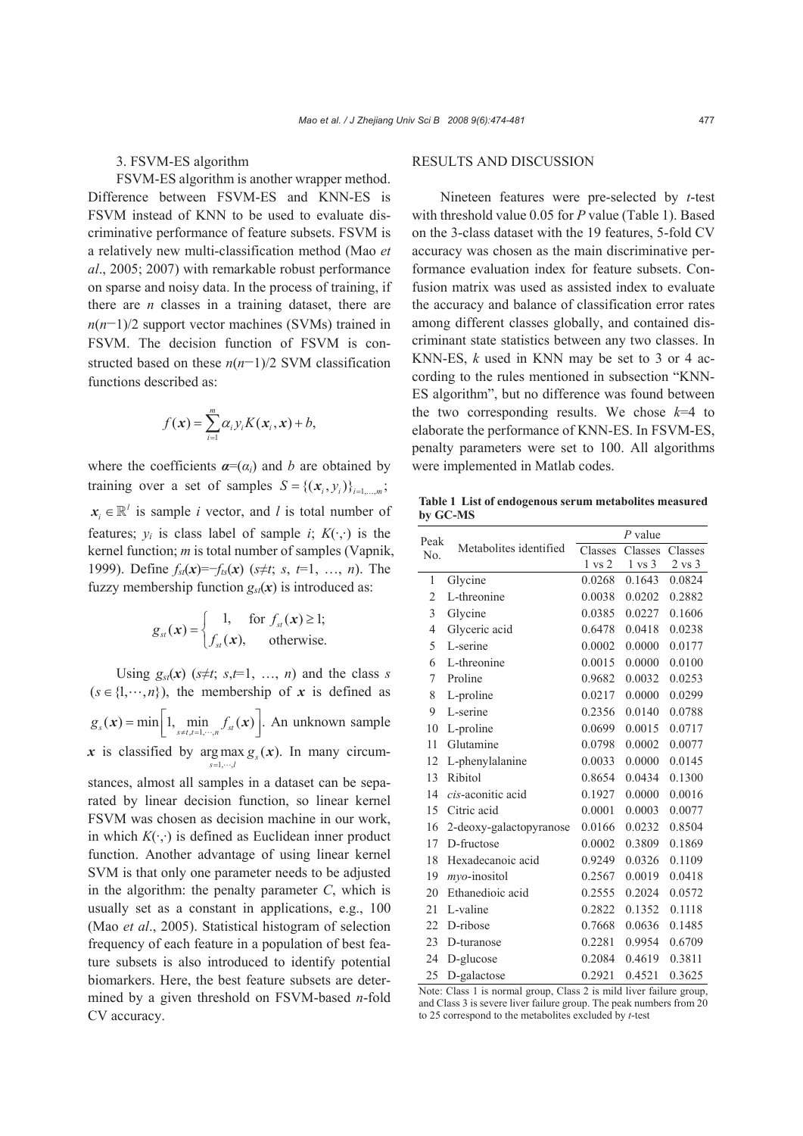3. FSVM-ES algorithm

FSVM-ES algorithm is another wrapper method. Difference between FSVM-ES and KNN-ES is FSVM instead of KNN to be used to evaluate discriminative performance of feature subsets. FSVM is a relatively new multi-classification method (Mao *et al*., 2005; 2007) with remarkable robust performance on sparse and noisy data. In the process of training, if there are *n* classes in a training dataset, there are *n*(*n*−1)/2 support vector machines (SVMs) trained in FSVM. The decision function of FSVM is constructed based on these *n*(*n*−1)/2 SVM classification functions described as:

$$
f(\mathbf{x}) = \sum_{i=1}^{m} \alpha_i y_i K(\mathbf{x}_i, \mathbf{x}) + b,
$$

where the coefficients  $\alpha = (\alpha_i)$  and *b* are obtained by training over a set of samples  $S = \{ (x_i, y_i) \}_{i=1}^n$  in  $\mathbf{x}_i \in \mathbb{R}^l$  is sample *i* vector, and *l* is total number of features;  $y_i$  is class label of sample *i*;  $K(\cdot, \cdot)$  is the kernel function; *m* is total number of samples (Vapnik, 1999). Define *fst*(*x*)=−*fts*(*x*) (*s*≠*t*; *s*, *t*=1, …, *n*). The fuzzy membership function  $g_{st}(x)$  is introduced as:

$$
g_{st}(x) = \begin{cases} 1, & \text{for } f_{st}(x) \ge 1; \\ f_{st}(x), & \text{otherwise.} \end{cases}
$$

Using  $g_{st}(x)$  ( $s \neq t$ ;  $s,t=1, \ldots, n$ ) and the class *s*  $(s \in \{1, \dots, n\})$ , the membership of x is defined as  $g_s(x) = \min \left[1, \min_{s \neq t, t=1, \cdots, n} f_{st}(x)\right]$ . An unknown sample *x* is classified by  $\argmax_{s=1,\dots,I} g_s(x)$ . In many circumstances, almost all samples in a dataset can be sepa-

rated by linear decision function, so linear kernel FSVM was chosen as decision machine in our work, in which  $K(\cdot, \cdot)$  is defined as Euclidean inner product function. Another advantage of using linear kernel SVM is that only one parameter needs to be adjusted in the algorithm: the penalty parameter *C*, which is usually set as a constant in applications, e.g., 100 (Mao *et al*., 2005). Statistical histogram of selection frequency of each feature in a population of best feature subsets is also introduced to identify potential biomarkers. Here, the best feature subsets are determined by a given threshold on FSVM-based *n*-fold CV accuracy.

# RESULTS AND DISCUSSION

Nineteen features were pre-selected by *t*-test with threshold value 0.05 for *P* value (Table 1). Based on the 3-class dataset with the 19 features, 5-fold CV accuracy was chosen as the main discriminative performance evaluation index for feature subsets. Confusion matrix was used as assisted index to evaluate the accuracy and balance of classification error rates among different classes globally, and contained discriminant state statistics between any two classes. In KNN-ES, *k* used in KNN may be set to 3 or 4 according to the rules mentioned in subsection "KNN-ES algorithm", but no difference was found between the two corresponding results. We chose *k*=4 to elaborate the performance of KNN-ES. In FSVM-ES, penalty parameters were set to 100. All algorithms were implemented in Matlab codes.

**Table 1 List of endogenous serum metabolites measured by GC-MS** 

| Peak<br>No.  | Metabolites identified  | $P$ value         |                   |                   |  |
|--------------|-------------------------|-------------------|-------------------|-------------------|--|
|              |                         | Classes           | Classes           | Classes           |  |
|              |                         | $1 \text{ vs } 2$ | $1 \text{ vs } 3$ | $2 \text{ vs } 3$ |  |
| $\mathbf{1}$ | Glycine                 | 0.0268            | 0.1643            | 0.0824            |  |
| 2            | L-threonine             | 0.0038            | 0.0202            | 0.2882            |  |
| 3            | Glycine                 | 0.0385            | 0.0227            | 0.1606            |  |
| 4            | Glyceric acid           | 0.6478            | 0.0418            | 0.0238            |  |
| 5            | L-serine                | 0.0002            | 0.0000            | 0.0177            |  |
| 6            | L-threonine             | 0.0015            | 0.0000            | 0.0100            |  |
| 7            | Proline                 | 0.9682            | 0.0032            | 0.0253            |  |
| 8            | L-proline               | 0.0217            | 0.0000            | 0.0299            |  |
| 9            | L-serine                | 0.2356            | 0.0140            | 0.0788            |  |
| 10           | L-proline               | 0.0699            | 0.0015            | 0.0717            |  |
| 11           | Glutamine               | 0.0798            | 0.0002            | 0.0077            |  |
| 12           | L-phenylalanine         | 0.0033            | 0.0000            | 0.0145            |  |
| 13           | Ribitol                 | 0.8654            | 0.0434            | 0.1300            |  |
| 14           | cis-aconitic acid       | 0.1927            | 0.0000            | 0.0016            |  |
| 15           | Citric acid             | 0.0001            | 0.0003            | 0.0077            |  |
| 16           | 2-deoxy-galactopyranose | 0.0166            | 0.0232            | 0.8504            |  |
| 17           | D-fructose              | 0.0002            | 0.3809            | 0.1869            |  |
| 18           | Hexadecanoic acid       | 0.9249            | 0.0326            | 0.1109            |  |
| 19           | $myo$ -inositol         | 0.2567            | 0.0019            | 0.0418            |  |
| 20           | Ethanedioic acid        | 0.2555            | 0.2024            | 0.0572            |  |
| 21           | L-valine                | 0.2822            | 0.1352            | 0.1118            |  |
| 22           | D-ribose                | 0.7668            | 0.0636            | 0.1485            |  |
| 23           | D-turanose              | 0.2281            | 0.9954            | 0.6709            |  |
| 24           | D-glucose               | 0.2084            | 0.4619            | 0.3811            |  |
| 25           | D-galactose             | 0.2921            | 0.4521            | 0.3625            |  |

Note: Class 1 is normal group, Class 2 is mild liver failure group, and Class 3 is severe liver failure group. The peak numbers from 20 to 25 correspond to the metabolites excluded by *t*-test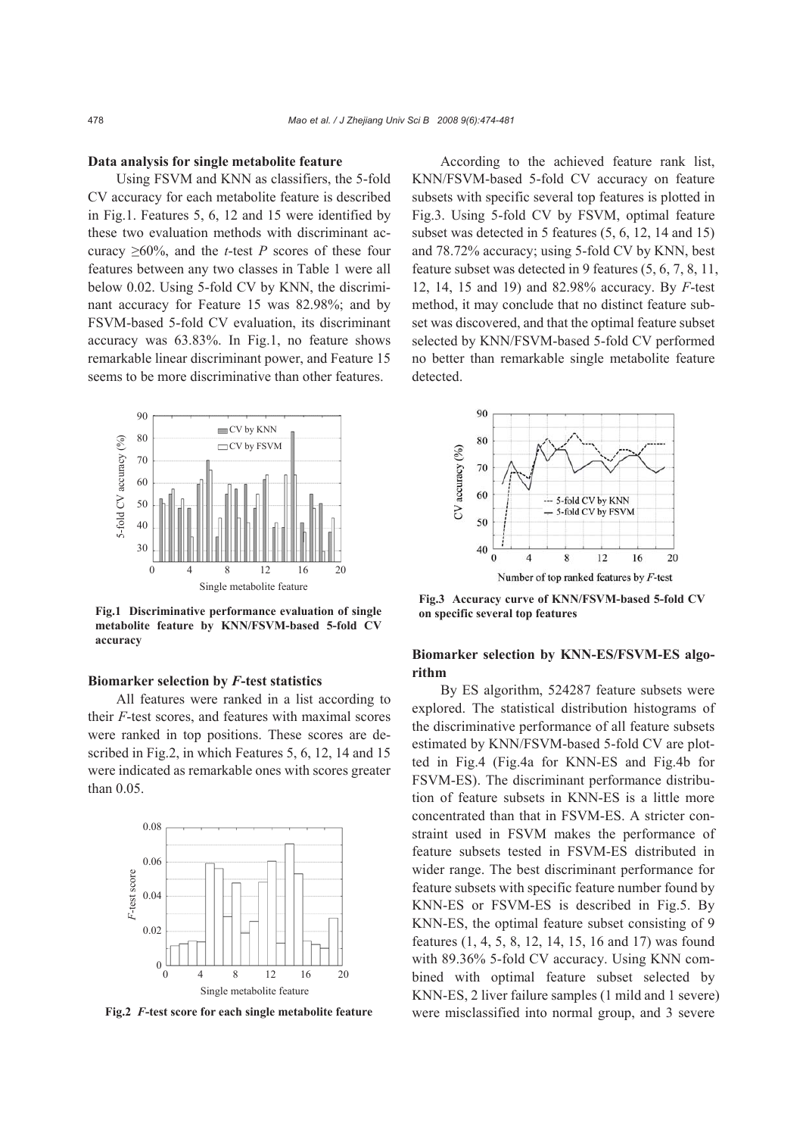#### **Data analysis for single metabolite feature**

Using FSVM and KNN as classifiers, the 5-fold CV accuracy for each metabolite feature is described in Fig.1. Features 5, 6, 12 and 15 were identified by these two evaluation methods with discriminant accuracy  $\geq 60\%$ , and the *t*-test *P* scores of these four features between any two classes in Table 1 were all below 0.02. Using 5-fold CV by KNN, the discriminant accuracy for Feature 15 was 82.98%; and by FSVM-based 5-fold CV evaluation, its discriminant accuracy was 63.83%. In Fig.1, no feature shows remarkable linear discriminant power, and Feature 15 seems to be more discriminative than other features.



**Fig.1 Discriminative performance evaluation of single metabolite feature by KNN/FSVM-based 5-fold CV accuracy**

## **Biomarker selection by** *F***-test statistics**

All features were ranked in a list according to their *F*-test scores, and features with maximal scores were ranked in top positions. These scores are described in Fig.2, in which Features 5, 6, 12, 14 and 15 were indicated as remarkable ones with scores greater than 0.05.



According to the achieved feature rank list, KNN/FSVM-based 5-fold CV accuracy on feature subsets with specific several top features is plotted in Fig.3. Using 5-fold CV by FSVM, optimal feature subset was detected in 5 features (5, 6, 12, 14 and 15) and 78.72% accuracy; using 5-fold CV by KNN, best feature subset was detected in 9 features (5, 6, 7, 8, 11, 12, 14, 15 and 19) and 82.98% accuracy. By *F*-test method, it may conclude that no distinct feature subset was discovered, and that the optimal feature subset selected by KNN/FSVM-based 5-fold CV performed no better than remarkable single metabolite feature detected.



**Fig.3 Accuracy curve of KNN/FSVM-based 5-fold CV on specific several top features**

# **Biomarker selection by KNN-ES/FSVM-ES algorithm**

By ES algorithm, 524287 feature subsets were explored. The statistical distribution histograms of the discriminative performance of all feature subsets estimated by KNN/FSVM-based 5-fold CV are plotted in Fig.4 (Fig.4a for KNN-ES and Fig.4b for FSVM-ES). The discriminant performance distribution of feature subsets in KNN-ES is a little more concentrated than that in FSVM-ES. A stricter constraint used in FSVM makes the performance of feature subsets tested in FSVM-ES distributed in wider range. The best discriminant performance for feature subsets with specific feature number found by KNN-ES or FSVM-ES is described in Fig.5. By KNN-ES, the optimal feature subset consisting of 9 features (1, 4, 5, 8, 12, 14, 15, 16 and 17) was found with 89.36% 5-fold CV accuracy. Using KNN combined with optimal feature subset selected by KNN-ES, 2 liver failure samples (1 mild and 1 severe) **Fig.2** *F***-test score for each single metabolite feature** were misclassified into normal group, and 3 severe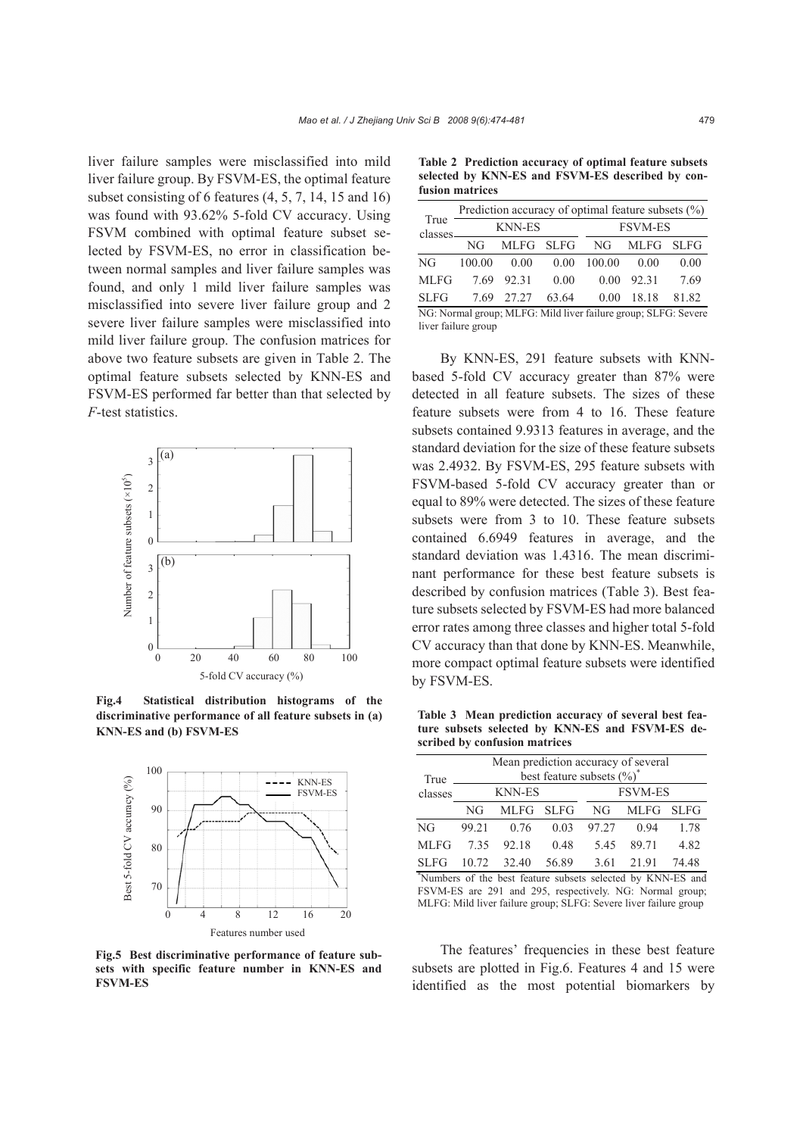liver failure samples were misclassified into mild liver failure group. By FSVM-ES, the optimal feature subset consisting of 6 features  $(4, 5, 7, 14, 15, 16)$ was found with 93.62% 5-fold CV accuracy. Using FSVM combined with optimal feature subset selected by FSVM-ES, no error in classification between normal samples and liver failure samples was found, and only 1 mild liver failure samples was misclassified into severe liver failure group and 2 severe liver failure samples were misclassified into mild liver failure group. The confusion matrices for above two feature subsets are given in Table 2. The optimal feature subsets selected by KNN-ES and FSVM-ES performed far better than that selected by *F*-test statistics.



**Fig.4 Statistical distribution histograms of the discriminative performance of all feature subsets in (a) KNN-ES and (b) FSVM-ES**



**Fig.5 Best discriminative performance of feature subsets with specific feature number in KNN-ES and FSVM-ES**

**Table 2 Prediction accuracy of optimal feature subsets selected by KNN-ES and FSVM-ES described by confusion matrices**

| True<br>classes—                                               | Prediction accuracy of optimal feature subsets $(\% )$ |             |       |                |             |             |
|----------------------------------------------------------------|--------------------------------------------------------|-------------|-------|----------------|-------------|-------------|
|                                                                | <b>KNN-ES</b>                                          |             |       | <b>FSVM-ES</b> |             |             |
|                                                                | NG                                                     | <b>MLFG</b> | SLFG  | NG             | <b>MLFG</b> | <b>SLFG</b> |
| NG                                                             | 100.00                                                 | 0.00        | 0.00  | 100.00         | 0.00        | 0.00        |
| <b>MLFG</b>                                                    | 7.69                                                   | 92.31       | 0.00  | 0.00           | 92.31       | 7.69        |
| <b>SLFG</b>                                                    | 7.69                                                   | 2.7 2.7     | 63.64 | 0.00           | 18.18       | 81.82       |
| NG: Normal group; MLFG: Mild liver failure group; SLFG: Severe |                                                        |             |       |                |             |             |

liver failure group

By KNN-ES, 291 feature subsets with KNNbased 5-fold CV accuracy greater than 87% were detected in all feature subsets. The sizes of these feature subsets were from 4 to 16. These feature subsets contained 9.9313 features in average, and the standard deviation for the size of these feature subsets was 2.4932. By FSVM-ES, 295 feature subsets with FSVM-based 5-fold CV accuracy greater than or equal to 89% were detected. The sizes of these feature subsets were from 3 to 10. These feature subsets contained 6.6949 features in average, and the standard deviation was 1.4316. The mean discriminant performance for these best feature subsets is described by confusion matrices (Table 3). Best feature subsets selected by FSVM-ES had more balanced error rates among three classes and higher total 5-fold CV accuracy than that done by KNN-ES. Meanwhile, more compact optimal feature subsets were identified by FSVM-ES.

**Table 3 Mean prediction accuracy of several best feature subsets selected by KNN-ES and FSVM-ES described by confusion matrices**

| True<br>classes | Mean prediction accuracy of several<br>best feature subsets (%) |       |                |       |       |             |
|-----------------|-----------------------------------------------------------------|-------|----------------|-------|-------|-------------|
|                 | <b>KNN-ES</b>                                                   |       | <b>FSVM-ES</b> |       |       |             |
|                 | NG                                                              | MLFG. | – SLFG         | NG    | MLFG  | <b>SLFG</b> |
| NG              | 99 21                                                           | 0.76  | 0.03           | 97 27 | 0.94  | 178         |
| MLFG            | 735                                                             | 92.18 | 0.48           | 545   | 89 71 | 4.82        |
| SL FG           | 10.72                                                           | 32.40 | 56.89          | 3.61  | 2191  | 74 48       |

\* Numbers of the best feature subsets selected by KNN-ES and FSVM-ES are 291 and 295, respectively. NG: Normal group; MLFG: Mild liver failure group; SLFG: Severe liver failure group

The features' frequencies in these best feature subsets are plotted in Fig.6. Features 4 and 15 were identified as the most potential biomarkers by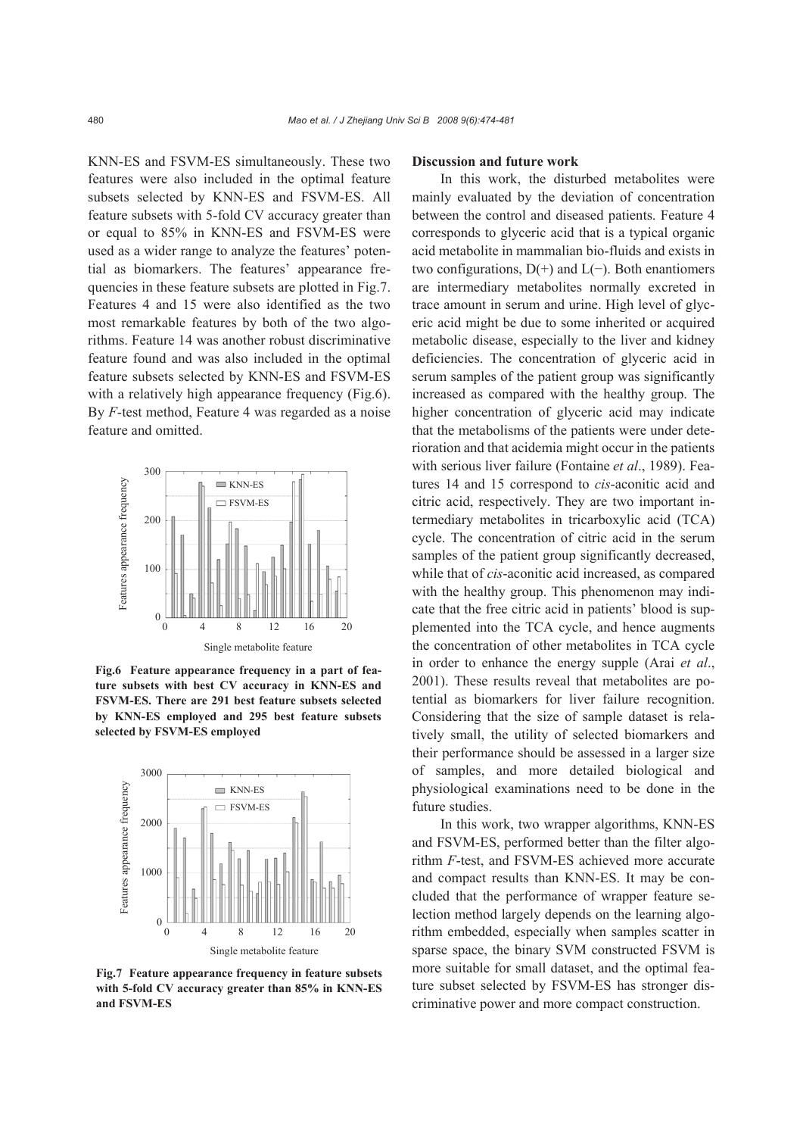KNN-ES and FSVM-ES simultaneously. These two features were also included in the optimal feature subsets selected by KNN-ES and FSVM-ES. All feature subsets with 5-fold CV accuracy greater than or equal to 85% in KNN-ES and FSVM-ES were used as a wider range to analyze the features' potential as biomarkers. The features' appearance frequencies in these feature subsets are plotted in Fig.7. Features 4 and 15 were also identified as the two most remarkable features by both of the two algorithms. Feature 14 was another robust discriminative feature found and was also included in the optimal feature subsets selected by KNN-ES and FSVM-ES with a relatively high appearance frequency (Fig.6). By *F*-test method, Feature 4 was regarded as a noise feature and omitted.



**Fig.6 Feature appearance frequency in a part of feature subsets with best CV accuracy in KNN-ES and FSVM-ES. There are 291 best feature subsets selected by KNN-ES employed and 295 best feature subsets selected by FSVM-ES employed**



**Fig.7 Feature appearance frequency in feature subsets with 5-fold CV accuracy greater than 85% in KNN-ES and FSVM-ES**

# **Discussion and future work**

In this work, the disturbed metabolites were mainly evaluated by the deviation of concentration between the control and diseased patients. Feature 4 corresponds to glyceric acid that is a typical organic acid metabolite in mammalian bio-fluids and exists in two configurations,  $D(+)$  and  $L(-)$ . Both enantiomers are intermediary metabolites normally excreted in trace amount in serum and urine. High level of glyceric acid might be due to some inherited or acquired metabolic disease, especially to the liver and kidney deficiencies. The concentration of glyceric acid in serum samples of the patient group was significantly increased as compared with the healthy group. The higher concentration of glyceric acid may indicate that the metabolisms of the patients were under deterioration and that acidemia might occur in the patients with serious liver failure (Fontaine *et al*., 1989). Features 14 and 15 correspond to *cis*-aconitic acid and citric acid, respectively. They are two important intermediary metabolites in tricarboxylic acid (TCA) cycle. The concentration of citric acid in the serum samples of the patient group significantly decreased, while that of *cis*-aconitic acid increased, as compared with the healthy group. This phenomenon may indicate that the free citric acid in patients' blood is supplemented into the TCA cycle, and hence augments the concentration of other metabolites in TCA cycle in order to enhance the energy supple (Arai *et al*., 2001). These results reveal that metabolites are potential as biomarkers for liver failure recognition. Considering that the size of sample dataset is relatively small, the utility of selected biomarkers and their performance should be assessed in a larger size of samples, and more detailed biological and physiological examinations need to be done in the future studies.

In this work, two wrapper algorithms, KNN-ES and FSVM-ES, performed better than the filter algorithm *F*-test, and FSVM-ES achieved more accurate and compact results than KNN-ES. It may be concluded that the performance of wrapper feature selection method largely depends on the learning algorithm embedded, especially when samples scatter in sparse space, the binary SVM constructed FSVM is more suitable for small dataset, and the optimal feature subset selected by FSVM-ES has stronger discriminative power and more compact construction.